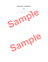# **OPERATING AGREEMENT**

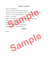## **TABLE OF CONTENTS**

ARTICLE 1, DEFINITIONS

ARTICLE II, PURPOSES AND POWERS OF COMPANY

ARTICLE III, NAMES AND ADDRESSES OF INITIAL MEMBERS; PRINCIPAL OFFICE TICLE II, PURPOSES AND POWERS OF COMPANY<br>TICLE III, NAMES AND ADDRESSES OF INITIAL MEMBERS, PRINCIPAL OFFICE<br>TICLE IV, VOTING POWERS, MEETINGS, ETC. OF MEMBERS<br>TICLE V, MANAGERS<br>TICLE VI, CONTRIBUTIONS TO THE COMPANY AND D

ARTICLE IV, VOTING POWERS, MEETINGS, ETC. OF MEMBERS

ARTICLE V, MANAGERS

ARTICLE VI, CONTRIBUTIONS TO THE COMPANY AND DISTRIBUTIONS

ARTICLE VII, RECORDS, REPORTS, ETC.

ARTICLE VIII, ASSIGNMENT, RESIGNATION

ARTICLE IX, DISSOLUTION AND TERMINATION

ARTICLE X, MISCELLANEOUS PROVISIONS

## **EXHIBITS**

Exhibit A